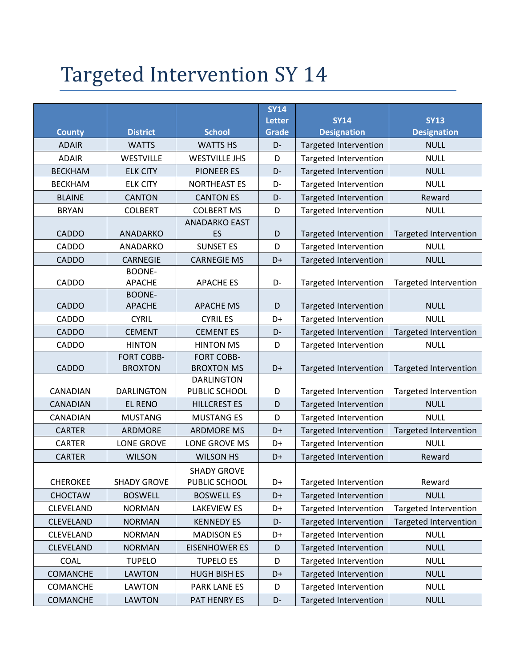## Targeted Intervention SY 14

|                  |                                |                      | <b>SY14</b>                   |                                   |                                   |
|------------------|--------------------------------|----------------------|-------------------------------|-----------------------------------|-----------------------------------|
| <b>County</b>    | <b>District</b>                | <b>School</b>        | <b>Letter</b><br><b>Grade</b> | <b>SY14</b><br><b>Designation</b> | <b>SY13</b><br><b>Designation</b> |
| <b>ADAIR</b>     | <b>WATTS</b>                   | <b>WATTS HS</b>      | D-                            | <b>Targeted Intervention</b>      | <b>NULL</b>                       |
| <b>ADAIR</b>     | <b>WESTVILLE</b>               | <b>WESTVILLE JHS</b> | D                             | <b>Targeted Intervention</b>      | <b>NULL</b>                       |
| <b>BECKHAM</b>   | <b>ELK CITY</b>                | <b>PIONEER ES</b>    | D-                            | <b>Targeted Intervention</b>      | <b>NULL</b>                       |
| <b>BECKHAM</b>   | <b>ELK CITY</b>                | <b>NORTHEAST ES</b>  | D-                            | <b>Targeted Intervention</b>      | <b>NULL</b>                       |
| <b>BLAINE</b>    | <b>CANTON</b>                  | <b>CANTON ES</b>     | D-                            | Targeted Intervention             | Reward                            |
| <b>BRYAN</b>     | <b>COLBERT</b>                 | <b>COLBERT MS</b>    | D                             | Targeted Intervention             | <b>NULL</b>                       |
|                  |                                | <b>ANADARKO EAST</b> |                               |                                   |                                   |
| <b>CADDO</b>     | ANADARKO                       | ES                   | D                             | <b>Targeted Intervention</b>      | <b>Targeted Intervention</b>      |
| <b>CADDO</b>     | ANADARKO                       | <b>SUNSET ES</b>     | D                             | <b>Targeted Intervention</b>      | <b>NULL</b>                       |
| <b>CADDO</b>     | <b>CARNEGIE</b>                | <b>CARNEGIE MS</b>   | D+                            | <b>Targeted Intervention</b>      | <b>NULL</b>                       |
|                  | <b>BOONE-</b>                  |                      |                               |                                   |                                   |
| CADDO            | <b>APACHE</b><br><b>BOONE-</b> | <b>APACHE ES</b>     | D-                            | <b>Targeted Intervention</b>      | Targeted Intervention             |
| <b>CADDO</b>     | <b>APACHE</b>                  | <b>APACHE MS</b>     | D                             | <b>Targeted Intervention</b>      | <b>NULL</b>                       |
| <b>CADDO</b>     | <b>CYRIL</b>                   | <b>CYRIL ES</b>      | D+                            | Targeted Intervention             | <b>NULL</b>                       |
| <b>CADDO</b>     | <b>CEMENT</b>                  | <b>CEMENTES</b>      | D-                            | <b>Targeted Intervention</b>      | <b>Targeted Intervention</b>      |
| <b>CADDO</b>     | <b>HINTON</b>                  | <b>HINTON MS</b>     | D                             | <b>Targeted Intervention</b>      | <b>NULL</b>                       |
|                  | <b>FORT COBB-</b>              | <b>FORT COBB-</b>    |                               |                                   |                                   |
| <b>CADDO</b>     | <b>BROXTON</b>                 | <b>BROXTON MS</b>    | D+                            | Targeted Intervention             | <b>Targeted Intervention</b>      |
|                  |                                | <b>DARLINGTON</b>    |                               |                                   |                                   |
| CANADIAN         | <b>DARLINGTON</b>              | PUBLIC SCHOOL        | D                             | <b>Targeted Intervention</b>      | Targeted Intervention             |
| <b>CANADIAN</b>  | <b>EL RENO</b>                 | <b>HILLCREST ES</b>  | D                             | <b>Targeted Intervention</b>      | <b>NULL</b>                       |
| CANADIAN         | <b>MUSTANG</b>                 | <b>MUSTANG ES</b>    | D                             | Targeted Intervention             | <b>NULL</b>                       |
| <b>CARTER</b>    | ARDMORE                        | <b>ARDMORE MS</b>    | D+                            | <b>Targeted Intervention</b>      | Targeted Intervention             |
| <b>CARTER</b>    | <b>LONE GROVE</b>              | LONE GROVE MS        | D+                            | <b>Targeted Intervention</b>      | <b>NULL</b>                       |
| <b>CARTER</b>    | <b>WILSON</b>                  | <b>WILSON HS</b>     | D+                            | <b>Targeted Intervention</b>      | Reward                            |
|                  |                                | <b>SHADY GROVE</b>   |                               |                                   |                                   |
| <b>CHEROKEE</b>  | <b>SHADY GROVE</b>             | PUBLIC SCHOOL        | D+                            | Targeted Intervention             | Reward                            |
| <b>CHOCTAW</b>   | <b>BOSWELL</b>                 | <b>BOSWELL ES</b>    | D+                            | <b>Targeted Intervention</b>      | <b>NULL</b>                       |
| <b>CLEVELAND</b> | <b>NORMAN</b>                  | <b>LAKEVIEW ES</b>   | D+                            | Targeted Intervention             | <b>Targeted Intervention</b>      |
| <b>CLEVELAND</b> | <b>NORMAN</b>                  | <b>KENNEDY ES</b>    | D-                            | <b>Targeted Intervention</b>      | Targeted Intervention             |
| <b>CLEVELAND</b> | <b>NORMAN</b>                  | <b>MADISON ES</b>    | D+                            | Targeted Intervention             | <b>NULL</b>                       |
| <b>CLEVELAND</b> | <b>NORMAN</b>                  | <b>EISENHOWER ES</b> | D                             | <b>Targeted Intervention</b>      | <b>NULL</b>                       |
| COAL             | <b>TUPELO</b>                  | <b>TUPELO ES</b>     | D                             | <b>Targeted Intervention</b>      | <b>NULL</b>                       |
| COMANCHE         | <b>LAWTON</b>                  | <b>HUGH BISH ES</b>  | D+                            | Targeted Intervention             | <b>NULL</b>                       |
| COMANCHE         | LAWTON                         | PARK LANE ES         | D                             | Targeted Intervention             | <b>NULL</b>                       |
| <b>COMANCHE</b>  | LAWTON                         | PAT HENRY ES         | D-                            | Targeted Intervention             | <b>NULL</b>                       |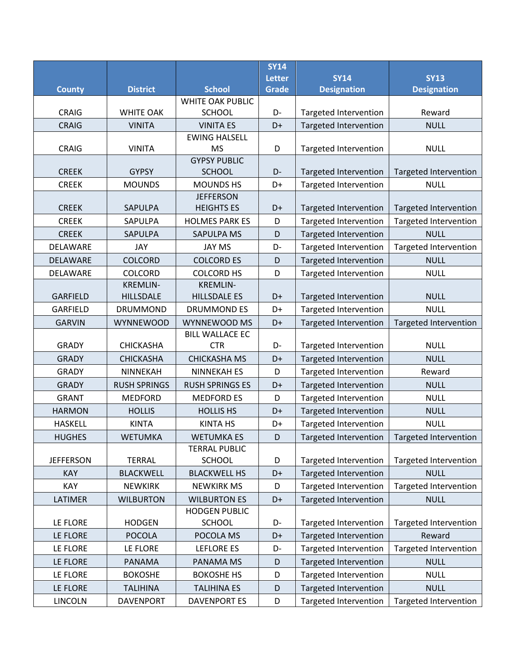|                  |                     |                                          | <b>SY14</b>   |                              |                              |
|------------------|---------------------|------------------------------------------|---------------|------------------------------|------------------------------|
|                  |                     |                                          | <b>Letter</b> | <b>SY14</b>                  | <b>SY13</b>                  |
| <b>County</b>    | <b>District</b>     | <b>School</b>                            | Grade         | <b>Designation</b>           | <b>Designation</b>           |
| <b>CRAIG</b>     | <b>WHITE OAK</b>    | <b>WHITE OAK PUBLIC</b><br><b>SCHOOL</b> | D-            | <b>Targeted Intervention</b> | Reward                       |
| <b>CRAIG</b>     | <b>VINITA</b>       | <b>VINITA ES</b>                         | D+            | <b>Targeted Intervention</b> | <b>NULL</b>                  |
|                  |                     | <b>EWING HALSELL</b>                     |               |                              |                              |
| <b>CRAIG</b>     | <b>VINITA</b>       | <b>MS</b>                                | D             | <b>Targeted Intervention</b> | <b>NULL</b>                  |
|                  |                     | <b>GYPSY PUBLIC</b>                      |               |                              |                              |
| <b>CREEK</b>     | <b>GYPSY</b>        | <b>SCHOOL</b>                            | D-            | <b>Targeted Intervention</b> | Targeted Intervention        |
| <b>CREEK</b>     | <b>MOUNDS</b>       | <b>MOUNDS HS</b>                         | D+            | Targeted Intervention        | <b>NULL</b>                  |
| <b>CREEK</b>     | <b>SAPULPA</b>      | <b>JEFFERSON</b><br><b>HEIGHTS ES</b>    | D+            | <b>Targeted Intervention</b> | <b>Targeted Intervention</b> |
| <b>CREEK</b>     | SAPULPA             | <b>HOLMES PARK ES</b>                    | D             | <b>Targeted Intervention</b> | <b>Targeted Intervention</b> |
| <b>CREEK</b>     | SAPULPA             | <b>SAPULPA MS</b>                        | D             | Targeted Intervention        | <b>NULL</b>                  |
| DELAWARE         | JAY                 | <b>JAY MS</b>                            | D-            | <b>Targeted Intervention</b> | <b>Targeted Intervention</b> |
| DELAWARE         | <b>COLCORD</b>      | <b>COLCORD ES</b>                        | D             | <b>Targeted Intervention</b> | <b>NULL</b>                  |
| DELAWARE         | <b>COLCORD</b>      | <b>COLCORD HS</b>                        | D             | <b>Targeted Intervention</b> | <b>NULL</b>                  |
|                  | <b>KREMLIN-</b>     | <b>KREMLIN-</b>                          |               |                              |                              |
| <b>GARFIELD</b>  | <b>HILLSDALE</b>    | <b>HILLSDALE ES</b>                      | D+            | <b>Targeted Intervention</b> | <b>NULL</b>                  |
| <b>GARFIELD</b>  | <b>DRUMMOND</b>     | <b>DRUMMOND ES</b>                       | D+            | <b>Targeted Intervention</b> | <b>NULL</b>                  |
| <b>GARVIN</b>    | <b>WYNNEWOOD</b>    | WYNNEWOOD MS                             | D+            | <b>Targeted Intervention</b> | <b>Targeted Intervention</b> |
|                  |                     | <b>BILL WALLACE EC</b>                   |               |                              |                              |
| <b>GRADY</b>     | <b>CHICKASHA</b>    | <b>CTR</b>                               | D-            | Targeted Intervention        | <b>NULL</b>                  |
| <b>GRADY</b>     | <b>CHICKASHA</b>    | <b>CHICKASHA MS</b>                      | D+            | <b>Targeted Intervention</b> | <b>NULL</b>                  |
| <b>GRADY</b>     | NINNEKAH            | <b>NINNEKAH ES</b>                       | D             | <b>Targeted Intervention</b> | Reward                       |
| <b>GRADY</b>     | <b>RUSH SPRINGS</b> | <b>RUSH SPRINGS ES</b>                   | D+            | Targeted Intervention        | <b>NULL</b>                  |
| <b>GRANT</b>     | <b>MEDFORD</b>      | <b>MEDFORD ES</b>                        | D             | <b>Targeted Intervention</b> | <b>NULL</b>                  |
| <b>HARMON</b>    | <b>HOLLIS</b>       | <b>HOLLIS HS</b>                         | D+            | <b>Targeted Intervention</b> | <b>NULL</b>                  |
| <b>HASKELL</b>   | <b>KINTA</b>        | <b>KINTA HS</b>                          | D+            | Targeted Intervention        | <b>NULL</b>                  |
| <b>HUGHES</b>    | <b>WETUMKA</b>      | <b>WETUMKA ES</b>                        | D             | Targeted Intervention        | Targeted Intervention        |
|                  |                     | <b>TERRAL PUBLIC</b>                     |               |                              |                              |
| <b>JEFFERSON</b> | <b>TERRAL</b>       | <b>SCHOOL</b>                            | D             | <b>Targeted Intervention</b> | Targeted Intervention        |
| KAY              | <b>BLACKWELL</b>    | <b>BLACKWELL HS</b>                      | D+            | <b>Targeted Intervention</b> | <b>NULL</b>                  |
| <b>KAY</b>       | <b>NEWKIRK</b>      | <b>NEWKIRK MS</b>                        | D             | <b>Targeted Intervention</b> | Targeted Intervention        |
| LATIMER          | <b>WILBURTON</b>    | <b>WILBURTON ES</b>                      | D+            | <b>Targeted Intervention</b> | <b>NULL</b>                  |
|                  |                     | <b>HODGEN PUBLIC</b>                     |               |                              |                              |
| LE FLORE         | <b>HODGEN</b>       | <b>SCHOOL</b>                            | D-            | <b>Targeted Intervention</b> | Targeted Intervention        |
| LE FLORE         | <b>POCOLA</b>       | POCOLA MS                                | D+            | <b>Targeted Intervention</b> | Reward                       |
| LE FLORE         | LE FLORE            | LEFLORE ES                               | D-            | <b>Targeted Intervention</b> | <b>Targeted Intervention</b> |
| LE FLORE         | PANAMA              | PANAMA MS                                | D             | <b>Targeted Intervention</b> | <b>NULL</b>                  |
| LE FLORE         | <b>BOKOSHE</b>      | <b>BOKOSHE HS</b>                        | D             | <b>Targeted Intervention</b> | <b>NULL</b>                  |
| LE FLORE         | <b>TALIHINA</b>     | <b>TALIHINA ES</b>                       | D             | Targeted Intervention        | <b>NULL</b>                  |
| <b>LINCOLN</b>   | <b>DAVENPORT</b>    | <b>DAVENPORT ES</b>                      | D             | Targeted Intervention        | Targeted Intervention        |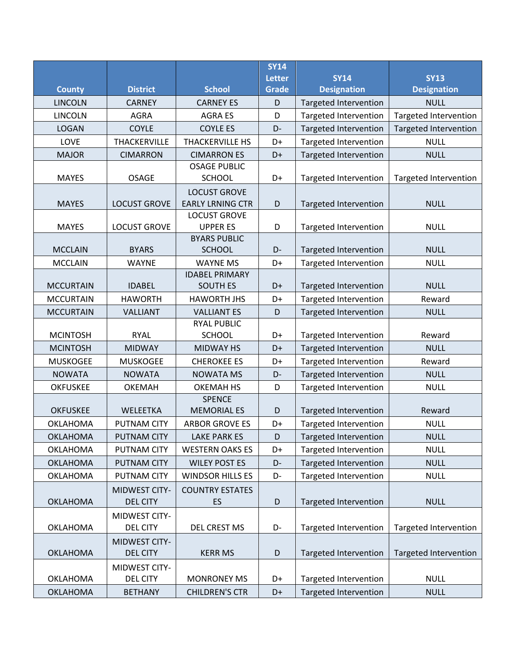|                  |                      |                                        | <b>SY14</b>   |                              |                              |
|------------------|----------------------|----------------------------------------|---------------|------------------------------|------------------------------|
|                  |                      |                                        | <b>Letter</b> | <b>SY14</b>                  | <b>SY13</b>                  |
| <b>County</b>    | <b>District</b>      | <b>School</b>                          | <b>Grade</b>  | <b>Designation</b>           | <b>Designation</b>           |
| <b>LINCOLN</b>   | <b>CARNEY</b>        | <b>CARNEY ES</b>                       | D             | <b>Targeted Intervention</b> | <b>NULL</b>                  |
| <b>LINCOLN</b>   | <b>AGRA</b>          | <b>AGRA ES</b>                         | D             | <b>Targeted Intervention</b> | <b>Targeted Intervention</b> |
| <b>LOGAN</b>     | <b>COYLE</b>         | <b>COYLE ES</b>                        | D-            | <b>Targeted Intervention</b> | <b>Targeted Intervention</b> |
| LOVE             | THACKERVILLE         | <b>THACKERVILLE HS</b>                 | D+            | <b>Targeted Intervention</b> | <b>NULL</b>                  |
| <b>MAJOR</b>     | <b>CIMARRON</b>      | <b>CIMARRON ES</b>                     | D+            | <b>Targeted Intervention</b> | <b>NULL</b>                  |
|                  |                      | <b>OSAGE PUBLIC</b>                    |               |                              |                              |
| <b>MAYES</b>     | <b>OSAGE</b>         | <b>SCHOOL</b>                          | D+            | Targeted Intervention        | <b>Targeted Intervention</b> |
|                  |                      | <b>LOCUST GROVE</b>                    |               |                              |                              |
| <b>MAYES</b>     | <b>LOCUST GROVE</b>  | <b>EARLY LRNING CTR</b>                | D             | <b>Targeted Intervention</b> | <b>NULL</b>                  |
| <b>MAYES</b>     | <b>LOCUST GROVE</b>  | <b>LOCUST GROVE</b><br><b>UPPER ES</b> | D             |                              | <b>NULL</b>                  |
|                  |                      | <b>BYARS PUBLIC</b>                    |               | <b>Targeted Intervention</b> |                              |
| <b>MCCLAIN</b>   | <b>BYARS</b>         | <b>SCHOOL</b>                          | D-            | <b>Targeted Intervention</b> | <b>NULL</b>                  |
| <b>MCCLAIN</b>   | <b>WAYNE</b>         | <b>WAYNE MS</b>                        | D+            | <b>Targeted Intervention</b> | <b>NULL</b>                  |
|                  |                      | <b>IDABEL PRIMARY</b>                  |               |                              |                              |
| <b>MCCURTAIN</b> | <b>IDABEL</b>        | <b>SOUTH ES</b>                        | D+            | <b>Targeted Intervention</b> | <b>NULL</b>                  |
| <b>MCCURTAIN</b> | <b>HAWORTH</b>       | <b>HAWORTH JHS</b>                     | D+            | <b>Targeted Intervention</b> | Reward                       |
| <b>MCCURTAIN</b> | <b>VALLIANT</b>      | <b>VALLIANT ES</b>                     | D             | <b>Targeted Intervention</b> | <b>NULL</b>                  |
|                  |                      | <b>RYAL PUBLIC</b>                     |               |                              |                              |
| <b>MCINTOSH</b>  | <b>RYAL</b>          | <b>SCHOOL</b>                          | D+            | <b>Targeted Intervention</b> | Reward                       |
| <b>MCINTOSH</b>  | <b>MIDWAY</b>        | <b>MIDWAY HS</b>                       | D+            | <b>Targeted Intervention</b> | <b>NULL</b>                  |
| <b>MUSKOGEE</b>  | <b>MUSKOGEE</b>      | <b>CHEROKEE ES</b>                     | D+            | <b>Targeted Intervention</b> | Reward                       |
| <b>NOWATA</b>    | <b>NOWATA</b>        | <b>NOWATA MS</b>                       | D-            | <b>Targeted Intervention</b> | <b>NULL</b>                  |
| <b>OKFUSKEE</b>  | OKEMAH               | <b>OKEMAH HS</b>                       | D             | <b>Targeted Intervention</b> | <b>NULL</b>                  |
|                  |                      | <b>SPENCE</b>                          |               |                              |                              |
| <b>OKFUSKEE</b>  | WELEETKA             | <b>MEMORIAL ES</b>                     | D             | <b>Targeted Intervention</b> | Reward                       |
| <b>OKLAHOMA</b>  | <b>PUTNAM CITY</b>   | <b>ARBOR GROVE ES</b>                  | D+            | <b>Targeted Intervention</b> | <b>NULL</b>                  |
| <b>OKLAHOMA</b>  | <b>PUTNAM CITY</b>   | <b>LAKE PARK ES</b>                    | D             | <b>Targeted Intervention</b> | <b>NULL</b>                  |
| <b>OKLAHOMA</b>  | PUTNAM CITY          | <b>WESTERN OAKS ES</b>                 | D+            | <b>Targeted Intervention</b> | <b>NULL</b>                  |
| <b>OKLAHOMA</b>  | <b>PUTNAM CITY</b>   | <b>WILEY POST ES</b>                   | D-            | Targeted Intervention        | <b>NULL</b>                  |
| OKLAHOMA         | PUTNAM CITY          | <b>WINDSOR HILLS ES</b>                | D-            | <b>Targeted Intervention</b> | <b>NULL</b>                  |
|                  | MIDWEST CITY-        | <b>COUNTRY ESTATES</b>                 |               |                              |                              |
| <b>OKLAHOMA</b>  | <b>DEL CITY</b>      | ES                                     | D             | <b>Targeted Intervention</b> | <b>NULL</b>                  |
|                  | MIDWEST CITY-        |                                        |               |                              |                              |
| <b>OKLAHOMA</b>  | <b>DEL CITY</b>      | DEL CREST MS                           | D-            | <b>Targeted Intervention</b> | <b>Targeted Intervention</b> |
|                  | <b>MIDWEST CITY-</b> |                                        |               |                              |                              |
| <b>OKLAHOMA</b>  | <b>DEL CITY</b>      | <b>KERR MS</b>                         | D             | Targeted Intervention        | <b>Targeted Intervention</b> |
|                  | MIDWEST CITY-        |                                        |               |                              |                              |
| <b>OKLAHOMA</b>  | <b>DEL CITY</b>      | <b>MONRONEY MS</b>                     | D+            | <b>Targeted Intervention</b> | <b>NULL</b>                  |
| <b>OKLAHOMA</b>  | <b>BETHANY</b>       | <b>CHILDREN'S CTR</b>                  | D+            | <b>Targeted Intervention</b> | <b>NULL</b>                  |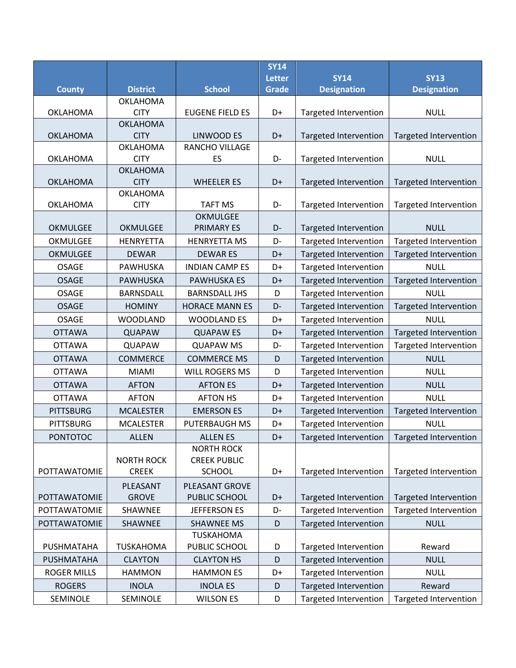|                    |                                   |                                               | SY14<br><b>Letter</b> | <b>SY14</b>                  | <b>SY13</b>                                   |
|--------------------|-----------------------------------|-----------------------------------------------|-----------------------|------------------------------|-----------------------------------------------|
| <b>County</b>      | <b>District</b>                   | <b>School</b>                                 | <b>Grade</b>          | <b>Designation</b>           | <b>Designation</b>                            |
|                    | <b>OKLAHOMA</b>                   |                                               |                       |                              |                                               |
| <b>OKLAHOMA</b>    | <b>CITY</b>                       | <b>EUGENE FIELD ES</b>                        | D+                    | <b>Targeted Intervention</b> | <b>NULL</b>                                   |
|                    | <b>OKLAHOMA</b>                   |                                               |                       |                              |                                               |
| <b>OKLAHOMA</b>    | <b>CITY</b><br><b>OKLAHOMA</b>    | LINWOOD ES<br>RANCHO VILLAGE                  | D+                    | <b>Targeted Intervention</b> | <b>Targeted Intervention</b>                  |
| <b>OKLAHOMA</b>    | <b>CITY</b>                       | ES                                            | D-                    | <b>Targeted Intervention</b> | <b>NULL</b>                                   |
|                    | <b>OKLAHOMA</b>                   |                                               |                       |                              |                                               |
| <b>OKLAHOMA</b>    | <b>CITY</b>                       | <b>WHEELER ES</b>                             | D+                    | <b>Targeted Intervention</b> | Targeted Intervention                         |
|                    | <b>OKLAHOMA</b>                   |                                               |                       |                              |                                               |
| <b>OKLAHOMA</b>    | <b>CITY</b>                       | <b>TAFT MS</b>                                | D-                    | <b>Targeted Intervention</b> | Targeted Intervention                         |
| <b>OKMULGEE</b>    | <b>OKMULGEE</b>                   | <b>OKMULGEE</b><br><b>PRIMARY ES</b>          | D-                    | <b>Targeted Intervention</b> | <b>NULL</b>                                   |
| OKMULGEE           | <b>HENRYETTA</b>                  | <b>HENRYETTA MS</b>                           | D-                    | <b>Targeted Intervention</b> | Targeted Intervention                         |
| OKMULGEE           | <b>DEWAR</b>                      | <b>DEWARES</b>                                | D+                    | <b>Targeted Intervention</b> |                                               |
| <b>OSAGE</b>       | PAWHUSKA                          | <b>INDIAN CAMP ES</b>                         | D+                    |                              | <b>Targeted Intervention</b><br><b>NULL</b>   |
| <b>OSAGE</b>       | <b>PAWHUSKA</b>                   | <b>PAWHUSKA ES</b>                            |                       | <b>Targeted Intervention</b> | <b>Targeted Intervention</b>                  |
| <b>OSAGE</b>       |                                   |                                               | D+                    | <b>Targeted Intervention</b> | <b>NULL</b>                                   |
| <b>OSAGE</b>       | <b>BARNSDALL</b><br><b>HOMINY</b> | <b>BARNSDALL JHS</b><br><b>HORACE MANN ES</b> | D<br>D-               | <b>Targeted Intervention</b> |                                               |
|                    |                                   |                                               |                       | <b>Targeted Intervention</b> | <b>Targeted Intervention</b>                  |
| <b>OSAGE</b>       | <b>WOODLAND</b>                   | <b>WOODLAND ES</b>                            | D+                    | Targeted Intervention        | <b>NULL</b>                                   |
| <b>OTTAWA</b>      | <b>QUAPAW</b>                     | <b>QUAPAW ES</b>                              | D+                    | <b>Targeted Intervention</b> | <b>Targeted Intervention</b>                  |
| <b>OTTAWA</b>      | <b>QUAPAW</b>                     | <b>QUAPAW MS</b>                              | D-                    | Targeted Intervention        | <b>Targeted Intervention</b>                  |
| <b>OTTAWA</b>      | <b>COMMERCE</b>                   | <b>COMMERCE MS</b>                            | D                     | <b>Targeted Intervention</b> | <b>NULL</b>                                   |
| <b>OTTAWA</b>      | <b>MIAMI</b>                      | WILL ROGERS MS                                | D                     | <b>Targeted Intervention</b> | <b>NULL</b>                                   |
| <b>OTTAWA</b>      | <b>AFTON</b>                      | <b>AFTON ES</b>                               | D+                    | <b>Targeted Intervention</b> | <b>NULL</b>                                   |
| <b>OTTAWA</b>      | <b>AFTON</b>                      | <b>AFTON HS</b>                               | D+                    | <b>Targeted Intervention</b> | <b>NULL</b>                                   |
| <b>PITTSBURG</b>   | <b>MCALESTER</b>                  | <b>EMERSON ES</b>                             | D+                    | Targeted Intervention        | <b>Targeted Intervention</b>                  |
| <b>PITTSBURG</b>   | <b>MCALESTER</b>                  | PUTERBAUGH MS                                 | D+                    | <b>Targeted Intervention</b> | <b>NULL</b>                                   |
| <b>PONTOTOC</b>    | <b>ALLEN</b>                      | <b>ALLEN ES</b>                               | D+                    |                              | Targeted Intervention   Targeted Intervention |
|                    | <b>NORTH ROCK</b>                 | <b>NORTH ROCK</b><br><b>CREEK PUBLIC</b>      |                       |                              |                                               |
| POTTAWATOMIE       | <b>CREEK</b>                      | <b>SCHOOL</b>                                 | D+                    | <b>Targeted Intervention</b> | <b>Targeted Intervention</b>                  |
|                    | PLEASANT                          | PLEASANT GROVE                                |                       |                              |                                               |
| POTTAWATOMIE       | <b>GROVE</b>                      | PUBLIC SCHOOL                                 | D+                    | <b>Targeted Intervention</b> | Targeted Intervention                         |
| POTTAWATOMIE       | SHAWNEE                           | <b>JEFFERSON ES</b>                           | D-                    | <b>Targeted Intervention</b> | Targeted Intervention                         |
| POTTAWATOMIE       | SHAWNEE                           | <b>SHAWNEE MS</b>                             | D                     | Targeted Intervention        | <b>NULL</b>                                   |
|                    |                                   | <b>TUSKAHOMA</b>                              |                       |                              |                                               |
| PUSHMATAHA         | <b>TUSKAHOMA</b>                  | PUBLIC SCHOOL                                 | D                     | <b>Targeted Intervention</b> | Reward                                        |
| PUSHMATAHA         | <b>CLAYTON</b>                    | <b>CLAYTON HS</b>                             | D                     | <b>Targeted Intervention</b> | <b>NULL</b>                                   |
| <b>ROGER MILLS</b> | <b>HAMMON</b>                     | <b>HAMMON ES</b>                              | D+                    | <b>Targeted Intervention</b> | <b>NULL</b>                                   |
| <b>ROGERS</b>      | <b>INOLA</b>                      | <b>INOLA ES</b>                               | D                     | <b>Targeted Intervention</b> | Reward                                        |
| SEMINOLE           | SEMINOLE                          | <b>WILSON ES</b>                              | D                     | Targeted Intervention        | Targeted Intervention                         |